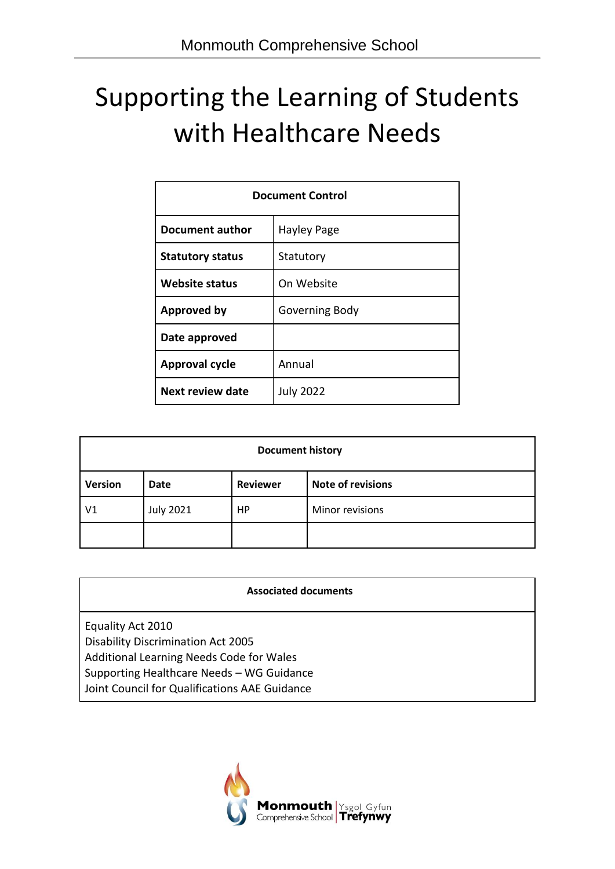# Supporting the Learning of Students with Healthcare Needs

| <b>Document Control</b>              |        |  |
|--------------------------------------|--------|--|
| Document author<br>Hayley Page       |        |  |
| <b>Statutory status</b><br>Statutory |        |  |
| On Website<br><b>Website status</b>  |        |  |
| Approved by<br>Governing Body        |        |  |
| Date approved                        |        |  |
| <b>Approval cycle</b>                | Annual |  |
| Next review date<br><b>July 2022</b> |        |  |

| <b>Document history</b> |                  |                 |                          |  |
|-------------------------|------------------|-----------------|--------------------------|--|
| <b>Version</b>          | <b>Date</b>      | <b>Reviewer</b> | <b>Note of revisions</b> |  |
| V1                      | <b>July 2021</b> | HP              | Minor revisions          |  |
|                         |                  |                 |                          |  |

| <b>Associated documents</b>                                                                                                                                                                              |  |
|----------------------------------------------------------------------------------------------------------------------------------------------------------------------------------------------------------|--|
| Equality Act 2010<br><b>Disability Discrimination Act 2005</b><br>Additional Learning Needs Code for Wales<br>Supporting Healthcare Needs - WG Guidance<br>Joint Council for Qualifications AAE Guidance |  |

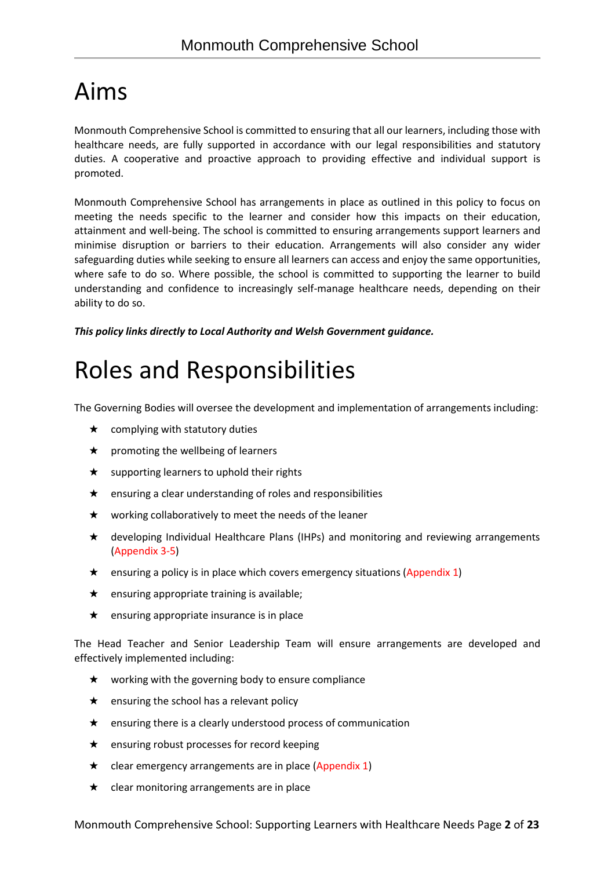# Aims

Monmouth Comprehensive School is committed to ensuring that all our learners, including those with healthcare needs, are fully supported in accordance with our legal responsibilities and statutory duties. A cooperative and proactive approach to providing effective and individual support is promoted.

Monmouth Comprehensive School has arrangements in place as outlined in this policy to focus on meeting the needs specific to the learner and consider how this impacts on their education, attainment and well-being. The school is committed to ensuring arrangements support learners and minimise disruption or barriers to their education. Arrangements will also consider any wider safeguarding duties while seeking to ensure all learners can access and enjoy the same opportunities, where safe to do so. Where possible, the school is committed to supporting the learner to build understanding and confidence to increasingly self-manage healthcare needs, depending on their ability to do so.

*This policy links directly to Local Authority and Welsh Government guidance.*

# Roles and Responsibilities

The Governing Bodies will oversee the development and implementation of arrangements including:

- $\star$  complying with statutory duties
- $\star$  promoting the wellbeing of learners
- $\star$  supporting learners to uphold their rights
- ★ ensuring a clear understanding of roles and responsibilities
- ★ working collaboratively to meet the needs of the leaner
- ★ developing Individual Healthcare Plans (IHPs) and monitoring and reviewing arrangements (Appendix 3-5)
- ★ ensuring a policy is in place which covers emergency situations (Appendix 1)
- $\star$  ensuring appropriate training is available;
- $\star$  ensuring appropriate insurance is in place

The Head Teacher and Senior Leadership Team will ensure arrangements are developed and effectively implemented including:

- $\star$  working with the governing body to ensure compliance
- $\star$  ensuring the school has a relevant policy
- ★ ensuring there is a clearly understood process of communication
- ★ ensuring robust processes for record keeping
- $\star$  clear emergency arrangements are in place (Appendix 1)
- $\star$  clear monitoring arrangements are in place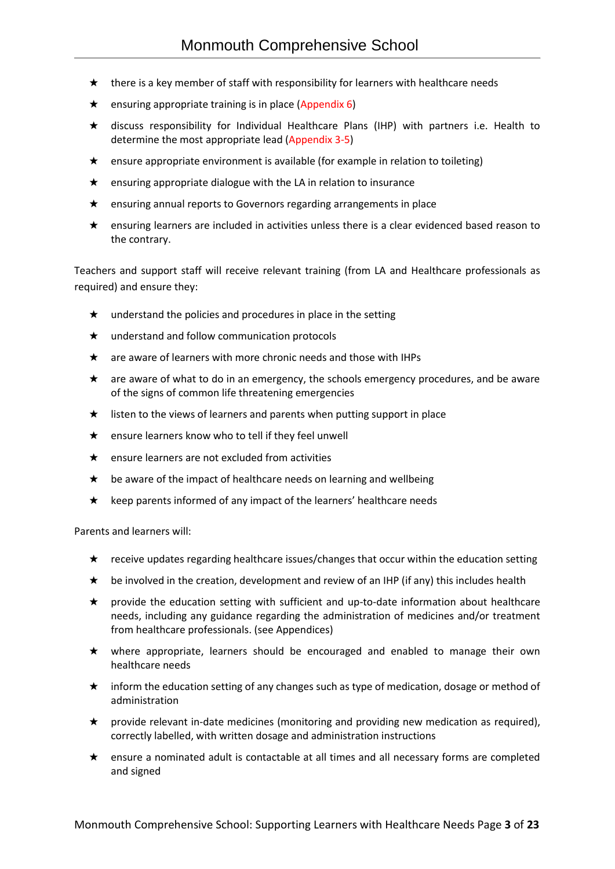- $\star$  there is a key member of staff with responsibility for learners with healthcare needs
- ★ ensuring appropriate training is in place (Appendix 6)
- ★ discuss responsibility for Individual Healthcare Plans (IHP) with partners i.e. Health to determine the most appropriate lead (Appendix 3-5)
- $\star$  ensure appropriate environment is available (for example in relation to toileting)
- ★ ensuring appropriate dialogue with the LA in relation to insurance
- ★ ensuring annual reports to Governors regarding arrangements in place
- ★ ensuring learners are included in activities unless there is a clear evidenced based reason to the contrary.

Teachers and support staff will receive relevant training (from LA and Healthcare professionals as required) and ensure they:

- $\star$  understand the policies and procedures in place in the setting
- ★ understand and follow communication protocols
- $\star$  are aware of learners with more chronic needs and those with IHPs
- ★ are aware of what to do in an emergency, the schools emergency procedures, and be aware of the signs of common life threatening emergencies
- $\star$  listen to the views of learners and parents when putting support in place
- $\star$  ensure learners know who to tell if they feel unwell
- ★ ensure learners are not excluded from activities
- ★ be aware of the impact of healthcare needs on learning and wellbeing
- ★ keep parents informed of any impact of the learners' healthcare needs

Parents and learners will:

- $\star$  receive updates regarding healthcare issues/changes that occur within the education setting
- $\star$  be involved in the creation, development and review of an IHP (if any) this includes health
- ★ provide the education setting with sufficient and up-to-date information about healthcare needs, including any guidance regarding the administration of medicines and/or treatment from healthcare professionals. (see Appendices)
- ★ where appropriate, learners should be encouraged and enabled to manage their own healthcare needs
- ★ inform the education setting of any changes such as type of medication, dosage or method of administration
- ★ provide relevant in-date medicines (monitoring and providing new medication as required), correctly labelled, with written dosage and administration instructions
- ★ ensure a nominated adult is contactable at all times and all necessary forms are completed and signed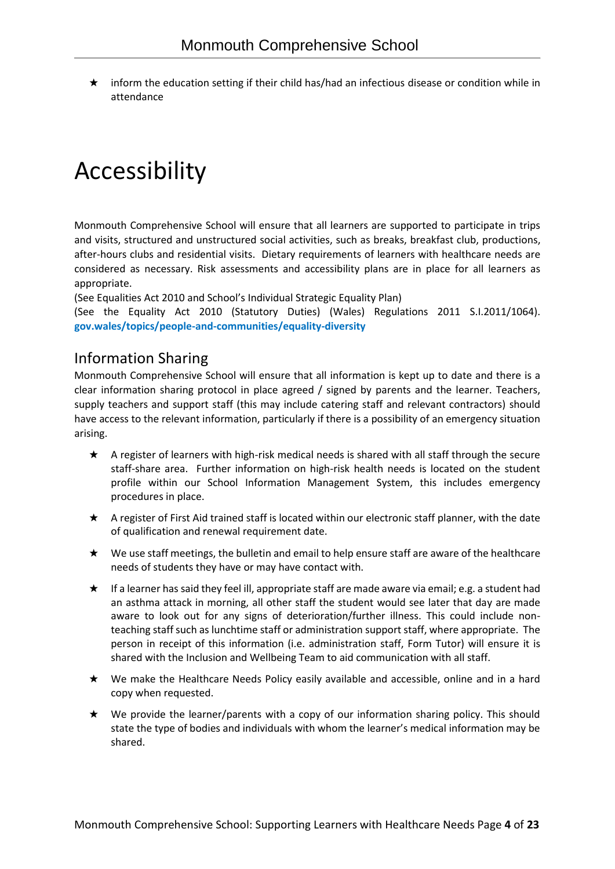★ inform the education setting if their child has/had an infectious disease or condition while in attendance

# Accessibility

Monmouth Comprehensive School will ensure that all learners are supported to participate in trips and visits, structured and unstructured social activities, such as breaks, breakfast club, productions, after-hours clubs and residential visits. Dietary requirements of learners with healthcare needs are considered as necessary. Risk assessments and accessibility plans are in place for all learners as appropriate.

(See Equalities Act 2010 and School's Individual Strategic Equality Plan)

(See the Equality Act 2010 (Statutory Duties) (Wales) Regulations 2011 S.I.2011/1064). **gov.wales/topics/people-and-communities/equality-diversity**

# Information Sharing

Monmouth Comprehensive School will ensure that all information is kept up to date and there is a clear information sharing protocol in place agreed / signed by parents and the learner. Teachers, supply teachers and support staff (this may include catering staff and relevant contractors) should have access to the relevant information, particularly if there is a possibility of an emergency situation arising.

- ★ A register of learners with high-risk medical needs is shared with all staff through the secure staff-share area. Further information on high-risk health needs is located on the student profile within our School Information Management System, this includes emergency procedures in place.
- ★ A register of First Aid trained staff is located within our electronic staff planner, with the date of qualification and renewal requirement date.
- ★ We use staff meetings, the bulletin and email to help ensure staff are aware of the healthcare needs of students they have or may have contact with.
- ★ If a learner has said they feel ill, appropriate staff are made aware via email; e.g. a student had an asthma attack in morning, all other staff the student would see later that day are made aware to look out for any signs of deterioration/further illness. This could include nonteaching staff such as lunchtime staff or administration support staff, where appropriate. The person in receipt of this information (i.e. administration staff, Form Tutor) will ensure it is shared with the Inclusion and Wellbeing Team to aid communication with all staff.
- ★ We make the Healthcare Needs Policy easily available and accessible, online and in a hard copy when requested.
- ★ We provide the learner/parents with a copy of our information sharing policy. This should state the type of bodies and individuals with whom the learner's medical information may be shared.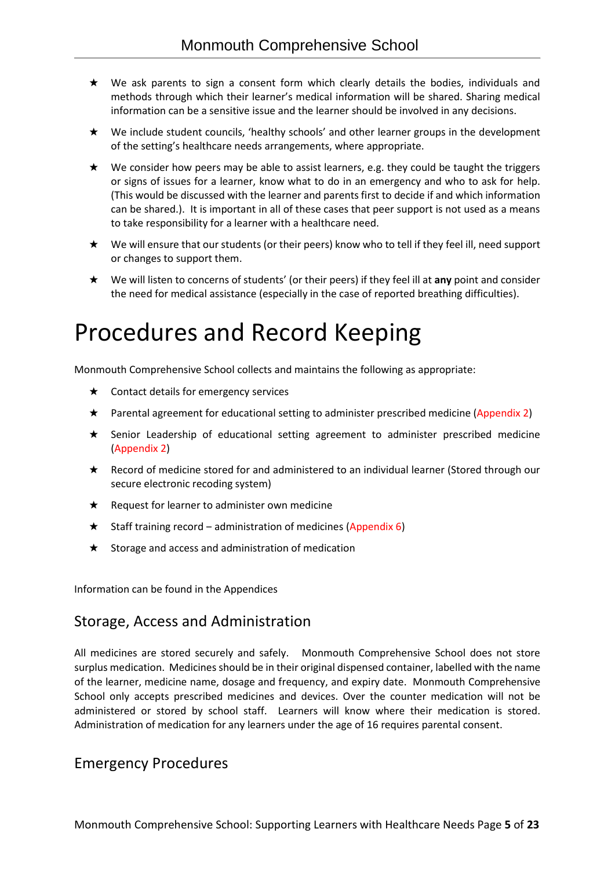- ★ We ask parents to sign a consent form which clearly details the bodies, individuals and methods through which their learner's medical information will be shared. Sharing medical information can be a sensitive issue and the learner should be involved in any decisions.
- ★ We include student councils, 'healthy schools' and other learner groups in the development of the setting's healthcare needs arrangements, where appropriate.
- $\star$  We consider how peers may be able to assist learners, e.g. they could be taught the triggers or signs of issues for a learner, know what to do in an emergency and who to ask for help. (This would be discussed with the learner and parents first to decide if and which information can be shared.). It is important in all of these cases that peer support is not used as a means to take responsibility for a learner with a healthcare need.
- ★ We will ensure that our students (or their peers) know who to tell if they feel ill, need support or changes to support them.
- ★ We will listen to concerns of students' (or their peers) if they feel ill at **any** point and consider the need for medical assistance (especially in the case of reported breathing difficulties).

# Procedures and Record Keeping

Monmouth Comprehensive School collects and maintains the following as appropriate:

- $\star$  Contact details for emergency services
- ★ Parental agreement for educational setting to administer prescribed medicine (Appendix 2)
- ★ Senior Leadership of educational setting agreement to administer prescribed medicine (Appendix 2)
- ★ Record of medicine stored for and administered to an individual learner (Stored through our secure electronic recoding system)
- $\star$  Request for learner to administer own medicine
- $\star$  Staff training record administration of medicines (Appendix 6)
- ★ Storage and access and administration of medication

Information can be found in the Appendices

# Storage, Access and Administration

All medicines are stored securely and safely. Monmouth Comprehensive School does not store surplus medication. Medicines should be in their original dispensed container, labelled with the name of the learner, medicine name, dosage and frequency, and expiry date. Monmouth Comprehensive School only accepts prescribed medicines and devices. Over the counter medication will not be administered or stored by school staff. Learners will know where their medication is stored. Administration of medication for any learners under the age of 16 requires parental consent.

# Emergency Procedures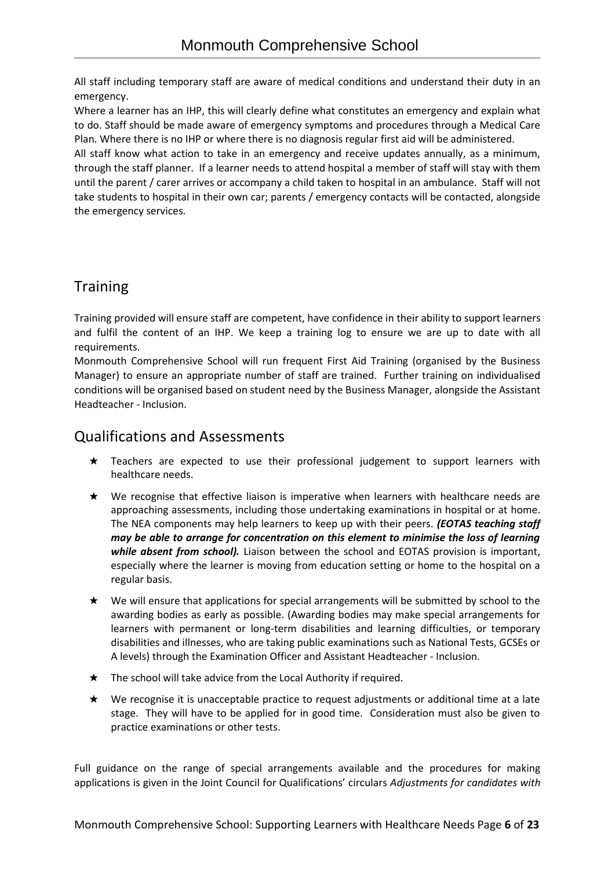All staff including temporary staff are aware of medical conditions and understand their duty in an emergency.

Where a learner has an IHP, this will clearly define what constitutes an emergency and explain what to do. Staff should be made aware of emergency symptoms and procedures through a Medical Care Plan. Where there is no IHP or where there is no diagnosis regular first aid will be administered.

All staff know what action to take in an emergency and receive updates annually, as a minimum, through the staff planner. If a learner needs to attend hospital a member of staff will stay with them until the parent / carer arrives or accompany a child taken to hospital in an ambulance. Staff will not take students to hospital in their own car; parents / emergency contacts will be contacted, alongside the emergency services.

# Training

Training provided will ensure staff are competent, have confidence in their ability to support learners and fulfil the content of an IHP. We keep a training log to ensure we are up to date with all requirements.

Monmouth Comprehensive School will run frequent First Aid Training (organised by the Business Manager) to ensure an appropriate number of staff are trained. Further training on individualised conditions will be organised based on student need by the Business Manager, alongside the Assistant Headteacher - Inclusion.

# Qualifications and Assessments

- ★ Teachers are expected to use their professional judgement to support learners with healthcare needs.
- ★ We recognise that effective liaison is imperative when learners with healthcare needs are approaching assessments, including those undertaking examinations in hospital or at home. The NEA components may help learners to keep up with their peers. *(EOTAS teaching staff may be able to arrange for concentration on this element to minimise the loss of learning while absent from school).* Liaison between the school and EOTAS provision is important, especially where the learner is moving from education setting or home to the hospital on a regular basis.
- ★ We will ensure that applications for special arrangements will be submitted by school to the awarding bodies as early as possible. (Awarding bodies may make special arrangements for learners with permanent or long-term disabilities and learning difficulties, or temporary disabilities and illnesses, who are taking public examinations such as National Tests, GCSEs or A levels) through the Examination Officer and Assistant Headteacher - Inclusion.
- $\star$  The school will take advice from the Local Authority if required.
- ★ We recognise it is unacceptable practice to request adjustments or additional time at a late stage. They will have to be applied for in good time. Consideration must also be given to practice examinations or other tests.

Full guidance on the range of special arrangements available and the procedures for making applications is given in the Joint Council for Qualifications' circulars *Adjustments for candidates with*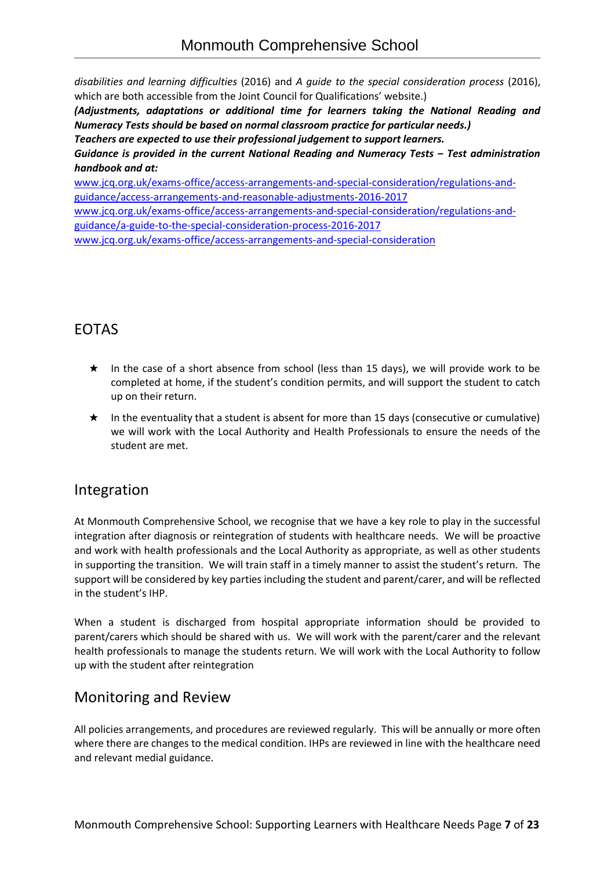*disabilities and learning difficulties* (2016) and *A guide to the special consideration process* (2016), which are both accessible from the Joint Council for Qualifications' website.)

*(Adjustments, adaptations or additional time for learners taking the National Reading and Numeracy Tests should be based on normal classroom practice for particular needs.)*

*Teachers are expected to use their professional judgement to support learners. Guidance is provided in the current National Reading and Numeracy Tests ‒ Test administration handbook and at:*

[www.jcq.org.uk/exams-office/access-arrangements-and-special-consideration/regulations-and](http://www.jcq.org.uk/exams-office/access-arrangements-and-special-consideration/regulations-and-guidance/access-arrangements-and-reasonable-adjustments-2016-2017)[guidance/access-arrangements-and-reasonable-adjustments-2016-2017](http://www.jcq.org.uk/exams-office/access-arrangements-and-special-consideration/regulations-and-guidance/access-arrangements-and-reasonable-adjustments-2016-2017) [www.jcq.org.uk/exams-office/access-arrangements-and-special-consideration/regulations-and](http://www.jcq.org.uk/exams-office/access-arrangements-and-special-consideration/regulations-and-guidance/a-guide-to-the-special-consideration-process-2016-2017)[guidance/a-guide-to-the-special-consideration-process-2016-2017](http://www.jcq.org.uk/exams-office/access-arrangements-and-special-consideration/regulations-and-guidance/a-guide-to-the-special-consideration-process-2016-2017) [www.jcq.org.uk/exams-office/access-arrangements-and-special-consideration](http://www.jcq.org.uk/exams-office/access-arrangements-and-special-consideration/)

# EOTAS

- ★ In the case of a short absence from school (less than 15 days), we will provide work to be completed at home, if the student's condition permits, and will support the student to catch up on their return.
- ★ In the eventuality that a student is absent for more than 15 days (consecutive or cumulative) we will work with the Local Authority and Health Professionals to ensure the needs of the student are met.

# Integration

At Monmouth Comprehensive School, we recognise that we have a key role to play in the successful integration after diagnosis or reintegration of students with healthcare needs. We will be proactive and work with health professionals and the Local Authority as appropriate, as well as other students in supporting the transition. We will train staff in a timely manner to assist the student's return. The support will be considered by key parties including the student and parent/carer, and will be reflected in the student's IHP.

When a student is discharged from hospital appropriate information should be provided to parent/carers which should be shared with us. We will work with the parent/carer and the relevant health professionals to manage the students return. We will work with the Local Authority to follow up with the student after reintegration

# Monitoring and Review

All policies arrangements, and procedures are reviewed regularly. This will be annually or more often where there are changes to the medical condition. IHPs are reviewed in line with the healthcare need and relevant medial guidance.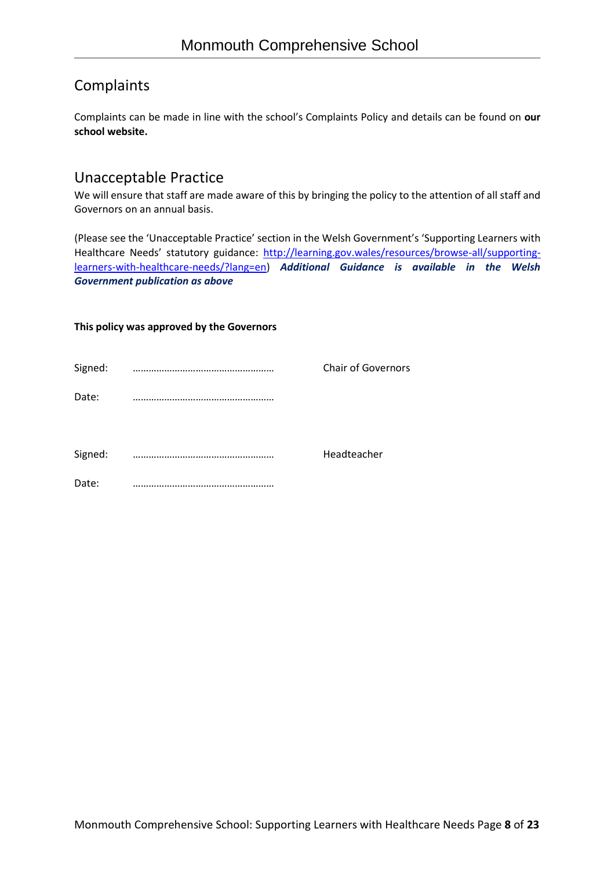# Complaints

Complaints can be made in line with the school's Complaints Policy and details can be found on **our school website.**

# Unacceptable Practice

We will ensure that staff are made aware of this by bringing the policy to the attention of all staff and Governors on an annual basis.

(Please see the 'Unacceptable Practice' section in the Welsh Government's 'Supporting Learners with Healthcare Needs' statutory guidance: [http://learning.gov.wales/resources/browse-all/supporting](http://learning.gov.wales/resources/browse-all/supporting-learners-with-healthcare-needs/?lang=en)[learners-with-healthcare-needs/?lang=en\)](http://learning.gov.wales/resources/browse-all/supporting-learners-with-healthcare-needs/?lang=en) *Additional Guidance is available in the Welsh Government publication as above*

#### **This policy was approved by the Governors**

| Signed: |           | <b>Chair of Governors</b> |
|---------|-----------|---------------------------|
| Date:   |           |                           |
| Signed: | $\bullet$ | Headteacher               |
| Date:   |           |                           |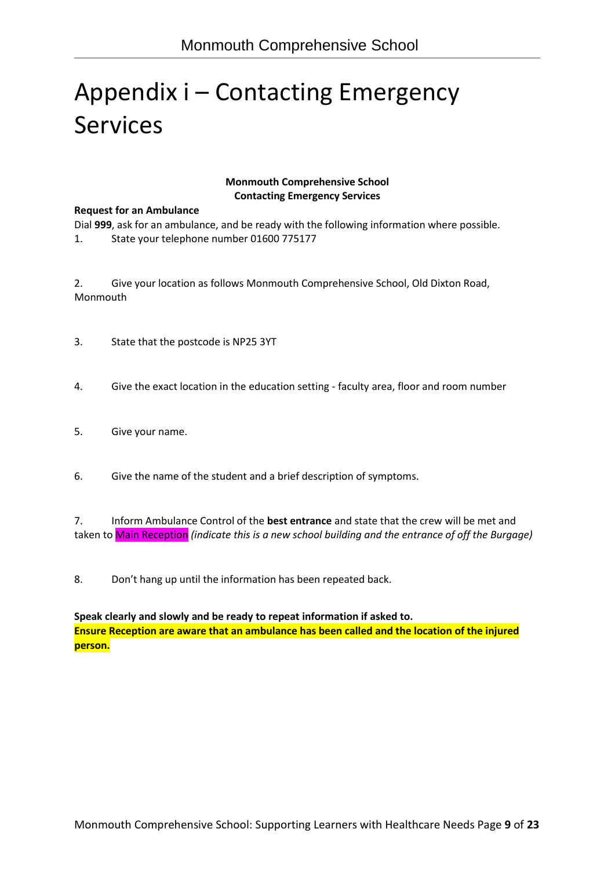# Appendix i – Contacting Emergency Services

#### **Monmouth Comprehensive School Contacting Emergency Services**

#### **Request for an Ambulance**

Dial **999**, ask for an ambulance, and be ready with the following information where possible. 1. State your telephone number 01600 775177

2. Give your location as follows Monmouth Comprehensive School, Old Dixton Road, Monmouth

- 3. State that the postcode is NP25 3YT
- 4. Give the exact location in the education setting faculty area, floor and room number
- 5. Give your name.
- 6. Give the name of the student and a brief description of symptoms.

7. Inform Ambulance Control of the **best entrance** and state that the crew will be met and taken to Main Reception *(indicate this is a new school building and the entrance of off the Burgage)*

8. Don't hang up until the information has been repeated back.

**Speak clearly and slowly and be ready to repeat information if asked to. Ensure Reception are aware that an ambulance has been called and the location of the injured person.**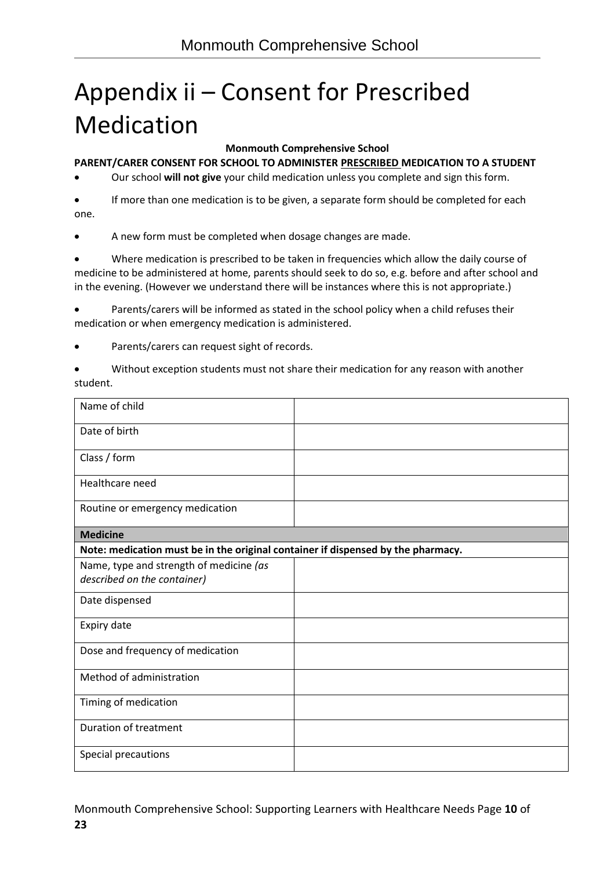# Appendix ii – Consent for Prescribed Medication

## **Monmouth Comprehensive School**

## **PARENT/CARER CONSENT FOR SCHOOL TO ADMINISTER PRESCRIBED MEDICATION TO A STUDENT**

• Our school **will not give** your child medication unless you complete and sign this form.

If more than one medication is to be given, a separate form should be completed for each one.

• A new form must be completed when dosage changes are made.

• Where medication is prescribed to be taken in frequencies which allow the daily course of medicine to be administered at home, parents should seek to do so, e.g. before and after school and in the evening. (However we understand there will be instances where this is not appropriate.)

Parents/carers will be informed as stated in the school policy when a child refuses their medication or when emergency medication is administered.

- Parents/carers can request sight of records.
- Without exception students must not share their medication for any reason with another student.

| Name of child                                                                    |  |
|----------------------------------------------------------------------------------|--|
| Date of birth                                                                    |  |
| Class / form                                                                     |  |
| Healthcare need                                                                  |  |
| Routine or emergency medication                                                  |  |
| <b>Medicine</b>                                                                  |  |
| Note: medication must be in the original container if dispensed by the pharmacy. |  |
| Name, type and strength of medicine (as                                          |  |
| described on the container)                                                      |  |
| Date dispensed                                                                   |  |
| Expiry date                                                                      |  |
| Dose and frequency of medication                                                 |  |
| Method of administration                                                         |  |
| Timing of medication                                                             |  |
| <b>Duration of treatment</b>                                                     |  |
| Special precautions                                                              |  |

Monmouth Comprehensive School: Supporting Learners with Healthcare Needs Page **10** of **23**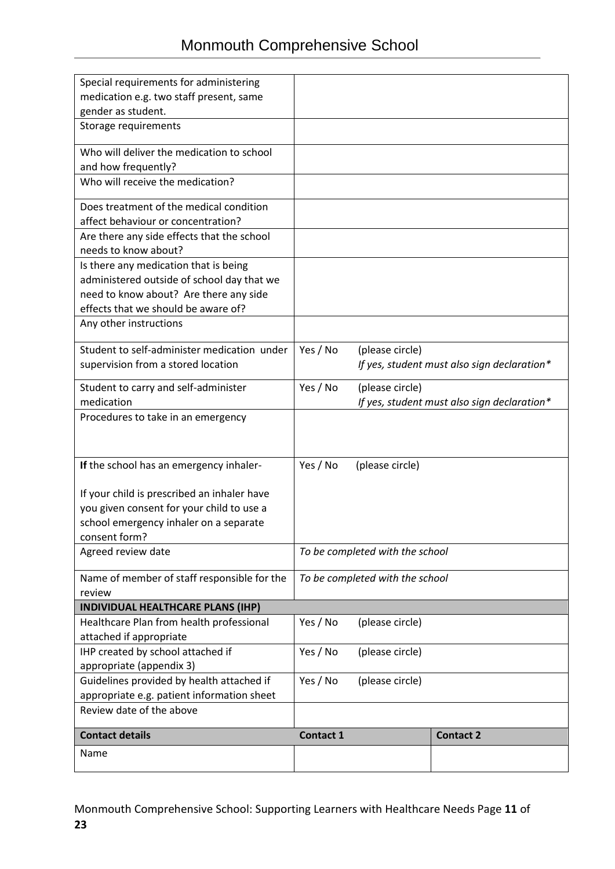| Special requirements for administering                |                  |                                 |                                             |
|-------------------------------------------------------|------------------|---------------------------------|---------------------------------------------|
| medication e.g. two staff present, same               |                  |                                 |                                             |
| gender as student.                                    |                  |                                 |                                             |
| Storage requirements                                  |                  |                                 |                                             |
| Who will deliver the medication to school             |                  |                                 |                                             |
| and how frequently?                                   |                  |                                 |                                             |
| Who will receive the medication?                      |                  |                                 |                                             |
|                                                       |                  |                                 |                                             |
| Does treatment of the medical condition               |                  |                                 |                                             |
| affect behaviour or concentration?                    |                  |                                 |                                             |
| Are there any side effects that the school            |                  |                                 |                                             |
| needs to know about?                                  |                  |                                 |                                             |
| Is there any medication that is being                 |                  |                                 |                                             |
| administered outside of school day that we            |                  |                                 |                                             |
| need to know about? Are there any side                |                  |                                 |                                             |
| effects that we should be aware of?                   |                  |                                 |                                             |
| Any other instructions                                |                  |                                 |                                             |
| Student to self-administer medication under           | Yes / No         | (please circle)                 |                                             |
| supervision from a stored location                    |                  |                                 | If yes, student must also sign declaration* |
| Student to carry and self-administer                  | Yes / No         | (please circle)                 |                                             |
| medication                                            |                  |                                 | If yes, student must also sign declaration* |
| Procedures to take in an emergency                    |                  |                                 |                                             |
|                                                       |                  |                                 |                                             |
|                                                       |                  |                                 |                                             |
| If the school has an emergency inhaler-               | Yes / No         | (please circle)                 |                                             |
|                                                       |                  |                                 |                                             |
| If your child is prescribed an inhaler have           |                  |                                 |                                             |
| you given consent for your child to use a             |                  |                                 |                                             |
| school emergency inhaler on a separate                |                  |                                 |                                             |
| consent form?                                         |                  |                                 |                                             |
| Agreed review date                                    |                  | To be completed with the school |                                             |
|                                                       |                  |                                 |                                             |
| Name of member of staff responsible for the<br>review |                  | To be completed with the school |                                             |
| INDIVIDUAL HEALTHCARE PLANS (IHP)                     |                  |                                 |                                             |
| Healthcare Plan from health professional              | Yes / No         | (please circle)                 |                                             |
| attached if appropriate                               |                  |                                 |                                             |
| IHP created by school attached if                     | Yes / No         | (please circle)                 |                                             |
| appropriate (appendix 3)                              |                  |                                 |                                             |
| Guidelines provided by health attached if             | Yes / No         | (please circle)                 |                                             |
| appropriate e.g. patient information sheet            |                  |                                 |                                             |
| Review date of the above                              |                  |                                 |                                             |
| <b>Contact details</b>                                | <b>Contact 1</b> |                                 | <b>Contact 2</b>                            |
| Name                                                  |                  |                                 |                                             |
|                                                       |                  |                                 |                                             |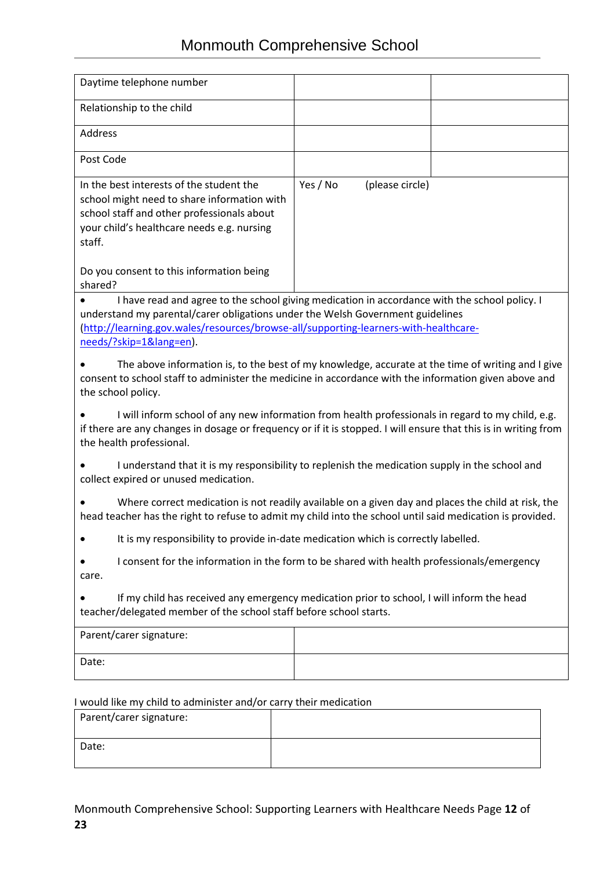| Daytime telephone number                                                                                                                                                                                                                                                                                                                                                                                                                                                                                                           |                             |  |  |  |
|------------------------------------------------------------------------------------------------------------------------------------------------------------------------------------------------------------------------------------------------------------------------------------------------------------------------------------------------------------------------------------------------------------------------------------------------------------------------------------------------------------------------------------|-----------------------------|--|--|--|
| Relationship to the child                                                                                                                                                                                                                                                                                                                                                                                                                                                                                                          |                             |  |  |  |
| <b>Address</b>                                                                                                                                                                                                                                                                                                                                                                                                                                                                                                                     |                             |  |  |  |
| Post Code                                                                                                                                                                                                                                                                                                                                                                                                                                                                                                                          |                             |  |  |  |
| In the best interests of the student the<br>school might need to share information with<br>school staff and other professionals about<br>your child's healthcare needs e.g. nursing<br>staff.                                                                                                                                                                                                                                                                                                                                      | Yes / No<br>(please circle) |  |  |  |
| Do you consent to this information being<br>shared?                                                                                                                                                                                                                                                                                                                                                                                                                                                                                |                             |  |  |  |
| I have read and agree to the school giving medication in accordance with the school policy. I<br>understand my parental/carer obligations under the Welsh Government guidelines<br>(http://learning.gov.wales/resources/browse-all/supporting-learners-with-healthcare-<br>needs/?skip=1⟨=en).<br>The above information is, to the best of my knowledge, accurate at the time of writing and I give<br>consent to school staff to administer the medicine in accordance with the information given above and<br>the school policy. |                             |  |  |  |
| I will inform school of any new information from health professionals in regard to my child, e.g.<br>if there are any changes in dosage or frequency or if it is stopped. I will ensure that this is in writing from<br>the health professional.                                                                                                                                                                                                                                                                                   |                             |  |  |  |
| I understand that it is my responsibility to replenish the medication supply in the school and<br>collect expired or unused medication.                                                                                                                                                                                                                                                                                                                                                                                            |                             |  |  |  |
| Where correct medication is not readily available on a given day and places the child at risk, the<br>head teacher has the right to refuse to admit my child into the school until said medication is provided.                                                                                                                                                                                                                                                                                                                    |                             |  |  |  |
| It is my responsibility to provide in-date medication which is correctly labelled.                                                                                                                                                                                                                                                                                                                                                                                                                                                 |                             |  |  |  |
| I consent for the information in the form to be shared with health professionals/emergency<br>care.                                                                                                                                                                                                                                                                                                                                                                                                                                |                             |  |  |  |
| If my child has received any emergency medication prior to school, I will inform the head<br>teacher/delegated member of the school staff before school starts.                                                                                                                                                                                                                                                                                                                                                                    |                             |  |  |  |
| Parent/carer signature:                                                                                                                                                                                                                                                                                                                                                                                                                                                                                                            |                             |  |  |  |
| Date:                                                                                                                                                                                                                                                                                                                                                                                                                                                                                                                              |                             |  |  |  |
|                                                                                                                                                                                                                                                                                                                                                                                                                                                                                                                                    |                             |  |  |  |
| I would like my child to administer and/or carry their medication<br>Parent/carer signature:                                                                                                                                                                                                                                                                                                                                                                                                                                       |                             |  |  |  |

Date: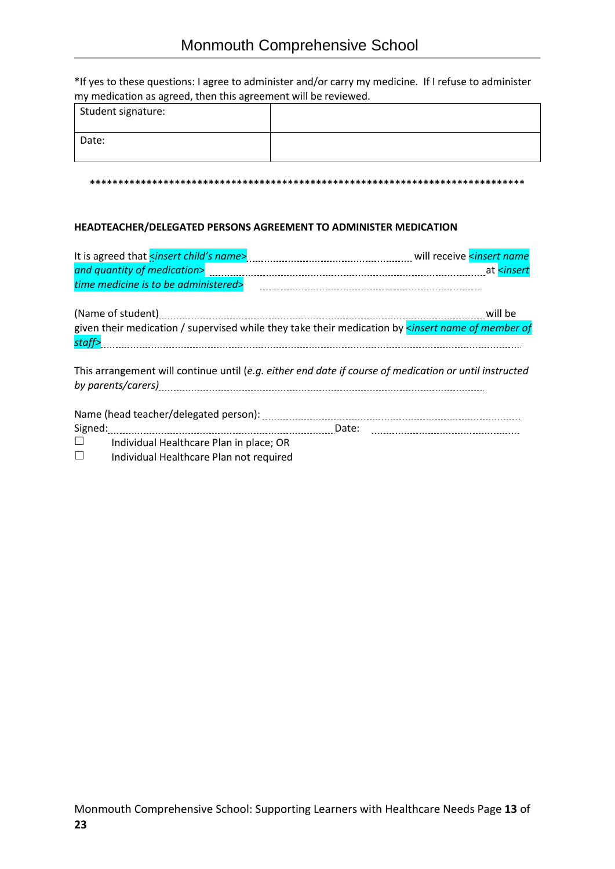\*If yes to these questions: I agree to administer and/or carry my medicine. If I refuse to administer my medication as agreed, then this agreement will be reviewed.

| Student signature: |  |
|--------------------|--|
| Date:              |  |

#### **\*\*\*\*\*\*\*\*\*\*\*\*\*\*\*\*\*\*\*\*\*\*\*\*\*\*\*\*\*\*\*\*\*\*\*\*\*\*\*\*\*\*\*\*\*\*\*\*\*\*\*\*\*\*\*\*\*\*\*\*\*\*\*\*\*\*\*\*\*\*\*\*\*\*\*\*\***

#### **HEADTEACHER/DELEGATED PERSONS AGREEMENT TO ADMINISTER MEDICATION**

| time medicine is to be administered>              | $\begin{minipage}{0.5\textwidth} \begin{tabular}{ l l l } \hline & \multicolumn{1}{ l l } \hline & \multicolumn{1}{ l l } \hline & \multicolumn{1}{ l } \hline \multicolumn{1}{ l } \hline \multicolumn{1}{ l } \hline \multicolumn{1}{ l } \hline \multicolumn{1}{ l } \hline \multicolumn{1}{ l } \hline \multicolumn{1}{ l } \hline \multicolumn{1}{ l } \hline \multicolumn{1}{ l } \hline \multicolumn{1}{ l } \hline \multicolumn{1}{ l } \hline$ |
|---------------------------------------------------|---------------------------------------------------------------------------------------------------------------------------------------------------------------------------------------------------------------------------------------------------------------------------------------------------------------------------------------------------------------------------------------------------------------------------------------------------------|
|                                                   |                                                                                                                                                                                                                                                                                                                                                                                                                                                         |
|                                                   | given their medication / supervised while they take their medication by <i>sinsert name of member of</i>                                                                                                                                                                                                                                                                                                                                                |
|                                                   |                                                                                                                                                                                                                                                                                                                                                                                                                                                         |
|                                                   |                                                                                                                                                                                                                                                                                                                                                                                                                                                         |
|                                                   | This arrangement will continue until (e.g. either end date if course of medication or until instructed                                                                                                                                                                                                                                                                                                                                                  |
|                                                   |                                                                                                                                                                                                                                                                                                                                                                                                                                                         |
|                                                   |                                                                                                                                                                                                                                                                                                                                                                                                                                                         |
| Signed:                                           |                                                                                                                                                                                                                                                                                                                                                                                                                                                         |
| $\Box$<br>Individual Healthcare Plan in place; OR |                                                                                                                                                                                                                                                                                                                                                                                                                                                         |
| Individual Healthcare Plan not required           |                                                                                                                                                                                                                                                                                                                                                                                                                                                         |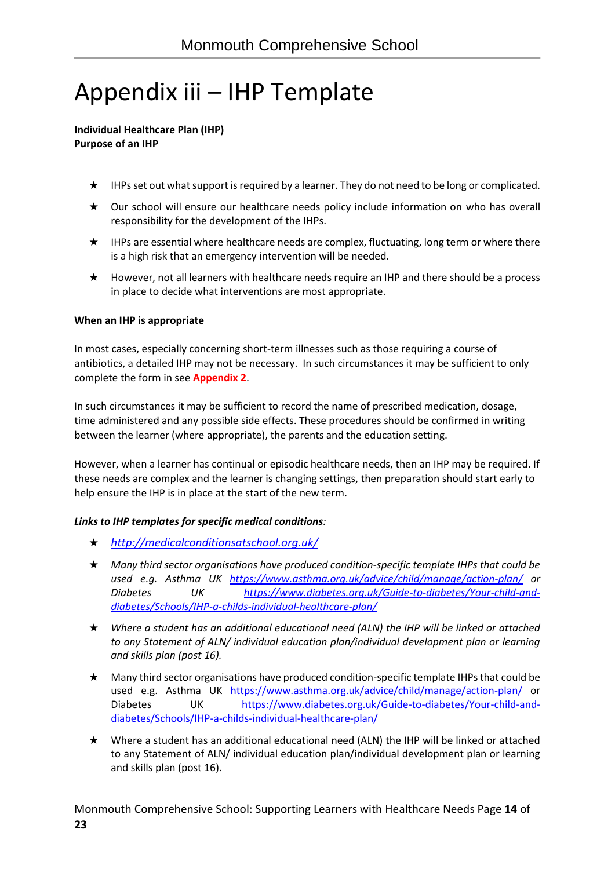# Appendix iii – IHP Template

#### **Individual Healthcare Plan (IHP) Purpose of an IHP**

- ★ IHPs set out what support is required by a learner. They do not need to be long or complicated.
- ★ Our school will ensure our healthcare needs policy include information on who has overall responsibility for the development of the IHPs.
- ★ IHPs are essential where healthcare needs are complex, fluctuating, long term or where there is a high risk that an emergency intervention will be needed.
- ★ However, not all learners with healthcare needs require an IHP and there should be a process in place to decide what interventions are most appropriate.

## **When an IHP is appropriate**

In most cases, especially concerning short-term illnesses such as those requiring a course of antibiotics, a detailed IHP may not be necessary. In such circumstances it may be sufficient to only complete the form in see **Appendix 2**.

In such circumstances it may be sufficient to record the name of prescribed medication, dosage, time administered and any possible side effects. These procedures should be confirmed in writing between the learner (where appropriate), the parents and the education setting.

However, when a learner has continual or episodic healthcare needs, then an IHP may be required. If these needs are complex and the learner is changing settings, then preparation should start early to help ensure the IHP is in place at the start of the new term.

### *Links to IHP templates for specific medical conditions:*

- ★ *<http://medicalconditionsatschool.org.uk/>*
- ★ *Many third sector organisations have produced condition-specific template IHPs that could be used e.g. Asthma UK <https://www.asthma.org.uk/advice/child/manage/action-plan/> or Diabetes UK [https://www.diabetes.org.uk/Guide-to-diabetes/Your-child-and](https://www.diabetes.org.uk/Guide-to-diabetes/Your-child-and-diabetes/Schools/IHP-a-childs-individual-healthcare-plan/)[diabetes/Schools/IHP-a-childs-individual-healthcare-plan/](https://www.diabetes.org.uk/Guide-to-diabetes/Your-child-and-diabetes/Schools/IHP-a-childs-individual-healthcare-plan/)*
- ★ *Where a student has an additional educational need (ALN) the IHP will be linked or attached to any Statement of ALN/ individual education plan/individual development plan or learning and skills plan (post 16).*
- ★ Many third sector organisations have produced condition-specific template IHPs that could be used e.g. Asthma UK <https://www.asthma.org.uk/advice/child/manage/action-plan/> or Diabetes UK [https://www.diabetes.org.uk/Guide-to-diabetes/Your-child-and](https://www.diabetes.org.uk/Guide-to-diabetes/Your-child-and-diabetes/Schools/IHP-a-childs-individual-healthcare-plan/)[diabetes/Schools/IHP-a-childs-individual-healthcare-plan/](https://www.diabetes.org.uk/Guide-to-diabetes/Your-child-and-diabetes/Schools/IHP-a-childs-individual-healthcare-plan/)
- ★ Where a student has an additional educational need (ALN) the IHP will be linked or attached to any Statement of ALN/ individual education plan/individual development plan or learning and skills plan (post 16).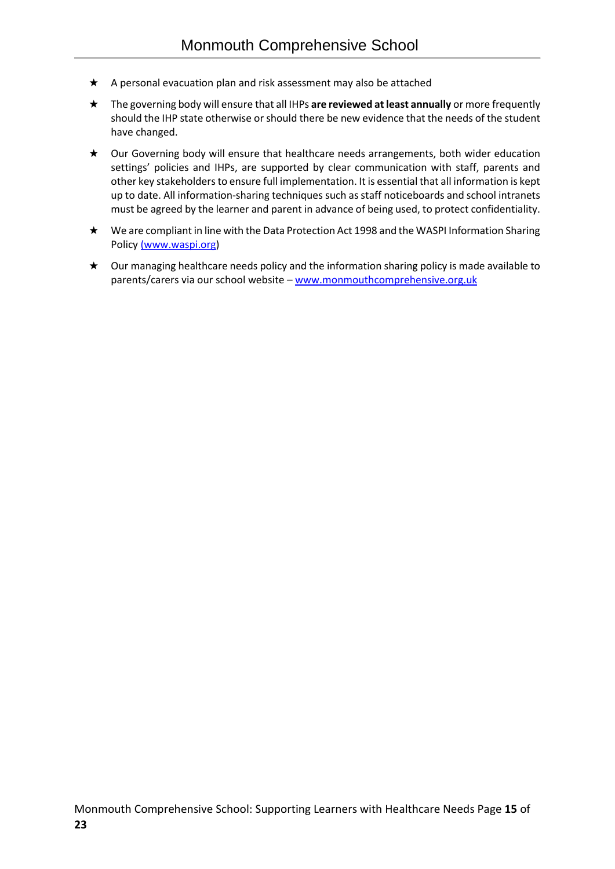- ★ A personal evacuation plan and risk assessment may also be attached
- ★ The governing body will ensure that all IHPs **are reviewed at least annually** or more frequently should the IHP state otherwise or should there be new evidence that the needs of the student have changed.
- ★ Our Governing body will ensure that healthcare needs arrangements, both wider education settings' policies and IHPs, are supported by clear communication with staff, parents and other key stakeholders to ensure full implementation. It is essential that all information is kept up to date. All information-sharing techniques such as staff noticeboards and school intranets must be agreed by the learner and parent in advance of being used, to protect confidentiality.
- ★ We are compliant in line with the Data Protection Act 1998 and the WASPI Information Sharing Policy [\(www.waspi.org\)](http://(www.waspi.org/)
- ★ Our managing healthcare needs policy and the information sharing policy is made available to parents/carers via our school website – [www.monmouthcomprehensive.org.uk](http://www.monmouthcomprehensive.org.uk/)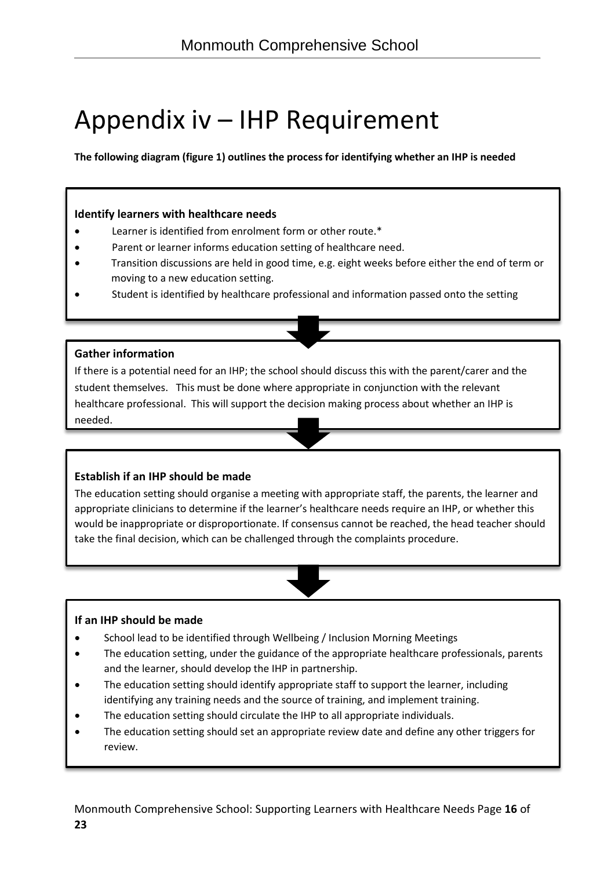# Appendix iv – IHP Requirement

**The following diagram (figure 1) outlines the process for identifying whether an IHP is needed**

## **Identify learners with healthcare needs**

- Learner is identified from enrolment form or other route.\*
- Parent or learner informs education setting of healthcare need.
- Transition discussions are held in good time, e.g. eight weeks before either the end of term or moving to a new education setting.
- Student is identified by healthcare professional and information passed onto the setting

## **Gather information**

If there is a potential need for an IHP; the school should discuss this with the parent/carer and the student themselves. This must be done where appropriate in conjunction with the relevant healthcare professional. This will support the decision making process about whether an IHP is needed.

## **Establish if an IHP should be made**

The education setting should organise a meeting with appropriate staff, the parents, the learner and appropriate clinicians to determine if the learner's healthcare needs require an IHP, or whether this would be inappropriate or disproportionate. If consensus cannot be reached, the head teacher should take the final decision, which can be challenged through the complaints procedure.

### **If an IHP should be made**

- School lead to be identified through Wellbeing / Inclusion Morning Meetings
- The education setting, under the guidance of the appropriate healthcare professionals, parents and the learner, should develop the IHP in partnership.
- The education setting should identify appropriate staff to support the learner, including identifying any training needs and the source of training, and implement training.
- The education setting should circulate the IHP to all appropriate individuals.
- The education setting should set an appropriate review date and define any other triggers for review.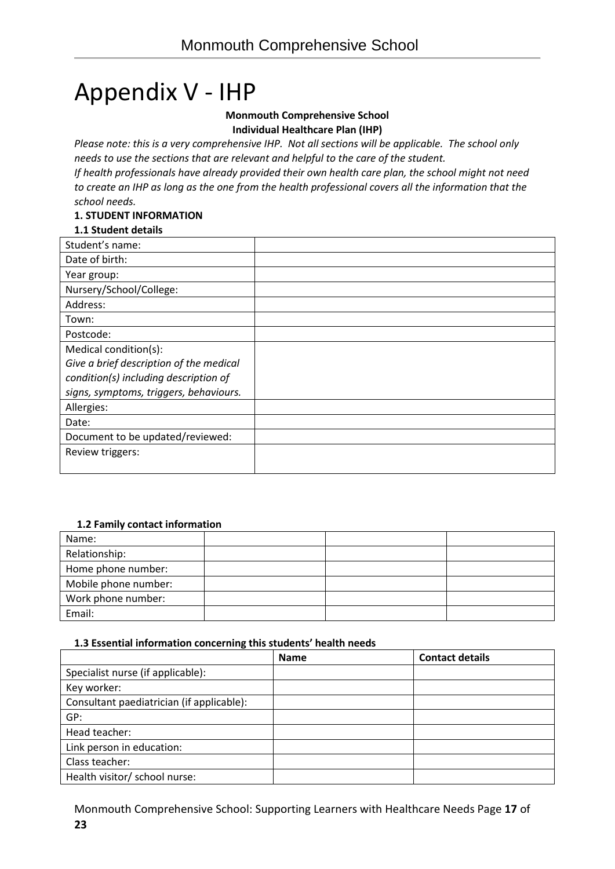# Appendix V - IHP

#### **Monmouth Comprehensive School Individual Healthcare Plan (IHP)**

*Please note: this is a very comprehensive IHP. Not all sections will be applicable. The school only needs to use the sections that are relevant and helpful to the care of the student.*

*If health professionals have already provided their own health care plan, the school might not need to create an IHP as long as the one from the health professional covers all the information that the school needs.*

## **1. STUDENT INFORMATION**

## **1.1 Student details**

| Student's name:                         |  |
|-----------------------------------------|--|
| Date of birth:                          |  |
| Year group:                             |  |
| Nursery/School/College:                 |  |
| Address:                                |  |
| Town:                                   |  |
| Postcode:                               |  |
| Medical condition(s):                   |  |
| Give a brief description of the medical |  |
| condition(s) including description of   |  |
| signs, symptoms, triggers, behaviours.  |  |
| Allergies:                              |  |
| Date:                                   |  |
| Document to be updated/reviewed:        |  |
| Review triggers:                        |  |
|                                         |  |

### **1.2 Family contact information**

| Name:                |  |  |
|----------------------|--|--|
| Relationship:        |  |  |
| Home phone number:   |  |  |
| Mobile phone number: |  |  |
| Work phone number:   |  |  |
| Email:               |  |  |

### **1.3 Essential information concerning this students' health needs**

|                                           | <b>Name</b> | <b>Contact details</b> |
|-------------------------------------------|-------------|------------------------|
| Specialist nurse (if applicable):         |             |                        |
| Key worker:                               |             |                        |
| Consultant paediatrician (if applicable): |             |                        |
| GP:                                       |             |                        |
| Head teacher:                             |             |                        |
| Link person in education:                 |             |                        |
| Class teacher:                            |             |                        |
| Health visitor/ school nurse:             |             |                        |

Monmouth Comprehensive School: Supporting Learners with Healthcare Needs Page **17** of **23**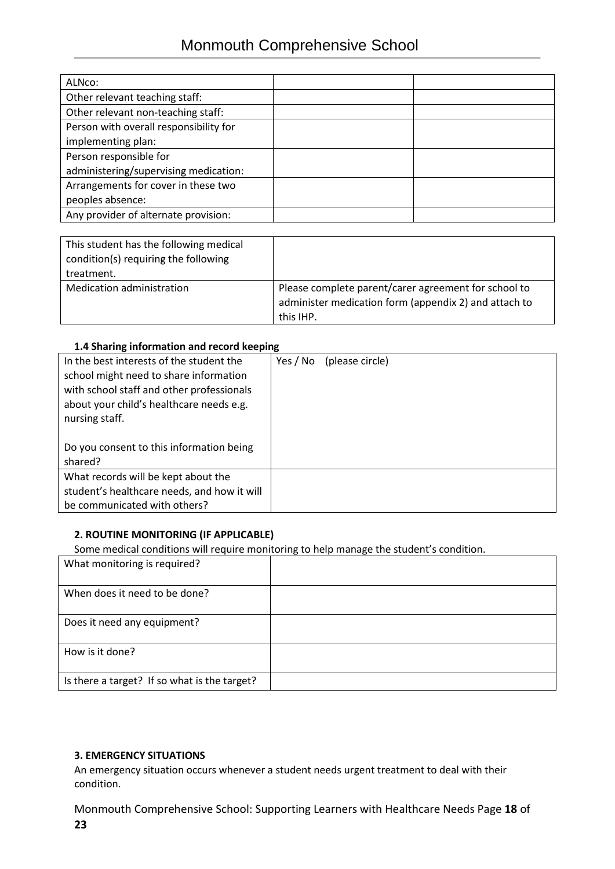| ALNco:                                 |  |
|----------------------------------------|--|
| Other relevant teaching staff:         |  |
| Other relevant non-teaching staff:     |  |
| Person with overall responsibility for |  |
| implementing plan:                     |  |
| Person responsible for                 |  |
| administering/supervising medication:  |  |
| Arrangements for cover in these two    |  |
| peoples absence:                       |  |
| Any provider of alternate provision:   |  |

| This student has the following medical<br>condition(s) requiring the following<br>treatment. |                                                       |
|----------------------------------------------------------------------------------------------|-------------------------------------------------------|
| <b>Medication administration</b>                                                             | Please complete parent/carer agreement for school to  |
|                                                                                              | administer medication form (appendix 2) and attach to |
|                                                                                              | this IHP.                                             |

#### **1.4 Sharing information and record keeping**

| In the best interests of the student the<br>school might need to share information<br>with school staff and other professionals<br>about your child's healthcare needs e.g.<br>nursing staff. | Yes / No | (please circle) |
|-----------------------------------------------------------------------------------------------------------------------------------------------------------------------------------------------|----------|-----------------|
| Do you consent to this information being                                                                                                                                                      |          |                 |
| shared?                                                                                                                                                                                       |          |                 |
| What records will be kept about the                                                                                                                                                           |          |                 |
| student's healthcare needs, and how it will                                                                                                                                                   |          |                 |
| be communicated with others?                                                                                                                                                                  |          |                 |

### **2. ROUTINE MONITORING (IF APPLICABLE)**

Some medical conditions will require monitoring to help manage the student's condition.

| What monitoring is required?                 |  |
|----------------------------------------------|--|
| When does it need to be done?                |  |
| Does it need any equipment?                  |  |
| How is it done?                              |  |
| Is there a target? If so what is the target? |  |

### **3. EMERGENCY SITUATIONS**

An emergency situation occurs whenever a student needs urgent treatment to deal with their condition.

Monmouth Comprehensive School: Supporting Learners with Healthcare Needs Page **18** of **23**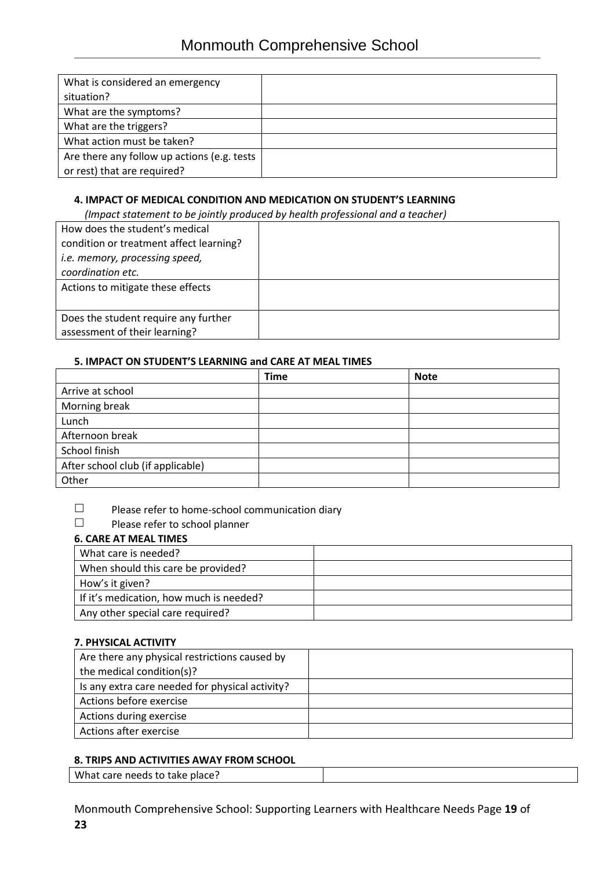| What is considered an emergency             |  |
|---------------------------------------------|--|
| situation?                                  |  |
| What are the symptoms?                      |  |
| What are the triggers?                      |  |
| What action must be taken?                  |  |
| Are there any follow up actions (e.g. tests |  |
| or rest) that are required?                 |  |

## **4. IMPACT OF MEDICAL CONDITION AND MEDICATION ON STUDENT'S LEARNING**

 *(Impact statement to be jointly produced by health professional and a teacher)*

| How does the student's medical          |  |
|-----------------------------------------|--|
| condition or treatment affect learning? |  |
| i.e. memory, processing speed,          |  |
| coordination etc.                       |  |
| Actions to mitigate these effects       |  |
|                                         |  |
| Does the student require any further    |  |
| assessment of their learning?           |  |

## **5. IMPACT ON STUDENT'S LEARNING and CARE AT MEAL TIMES**

|                                   | <b>Time</b> | <b>Note</b> |
|-----------------------------------|-------------|-------------|
| Arrive at school                  |             |             |
| Morning break                     |             |             |
| Lunch                             |             |             |
| Afternoon break                   |             |             |
| School finish                     |             |             |
| After school club (if applicable) |             |             |
| Other                             |             |             |

 $\Box$  Please refer to home-school communication diary<br> $\Box$  Please refer to school planner

Please refer to school planner

# **6. CARE AT MEAL TIMES**

| What care is needed?                    |  |
|-----------------------------------------|--|
| When should this care be provided?      |  |
| How's it given?                         |  |
| If it's medication, how much is needed? |  |
| Any other special care required?        |  |

### **7. PHYSICAL ACTIVITY**

| Are there any physical restrictions caused by   |  |
|-------------------------------------------------|--|
| the medical condition(s)?                       |  |
| Is any extra care needed for physical activity? |  |
| Actions before exercise                         |  |
| Actions during exercise                         |  |
| Actions after exercise                          |  |

### **8. TRIPS AND ACTIVITIES AWAY FROM SCHOOL**

What care needs to take place?

Monmouth Comprehensive School: Supporting Learners with Healthcare Needs Page **19** of **23**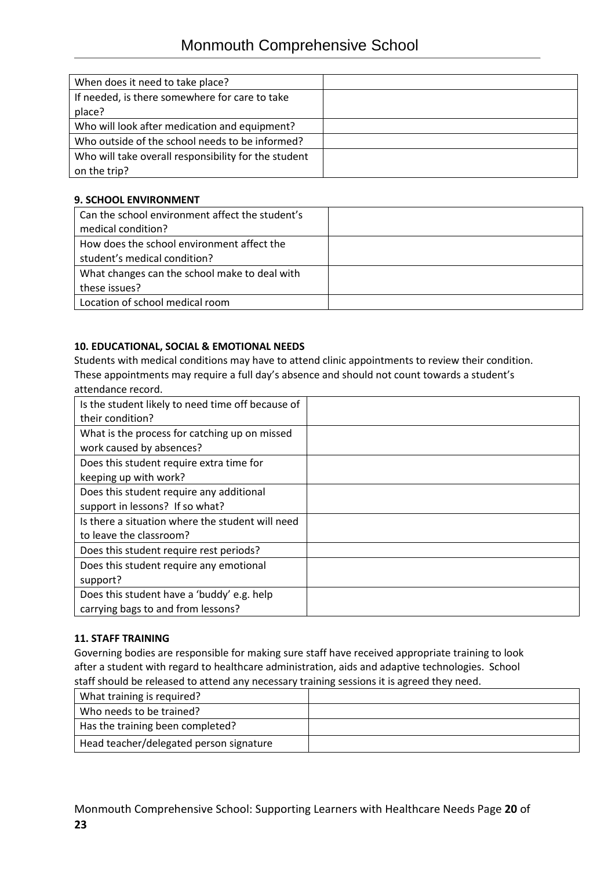| When does it need to take place?                     |  |
|------------------------------------------------------|--|
|                                                      |  |
| If needed, is there somewhere for care to take       |  |
|                                                      |  |
| place?                                               |  |
|                                                      |  |
| Who will look after medication and equipment?        |  |
| Who outside of the school needs to be informed?      |  |
|                                                      |  |
| Who will take overall responsibility for the student |  |
|                                                      |  |
| on the trip?                                         |  |
|                                                      |  |

### **9. SCHOOL ENVIRONMENT**

| Can the school environment affect the student's |  |
|-------------------------------------------------|--|
| medical condition?                              |  |
| How does the school environment affect the      |  |
| student's medical condition?                    |  |
| What changes can the school make to deal with   |  |
| these issues?                                   |  |
| Location of school medical room                 |  |

## **10. EDUCATIONAL, SOCIAL & EMOTIONAL NEEDS**

Students with medical conditions may have to attend clinic appointments to review their condition. These appointments may require a full day's absence and should not count towards a student's attendance record.

| Is the student likely to need time off because of |  |
|---------------------------------------------------|--|
| their condition?                                  |  |
| What is the process for catching up on missed     |  |
| work caused by absences?                          |  |
| Does this student require extra time for          |  |
| keeping up with work?                             |  |
| Does this student require any additional          |  |
| support in lessons? If so what?                   |  |
| Is there a situation where the student will need  |  |
| to leave the classroom?                           |  |
| Does this student require rest periods?           |  |
| Does this student require any emotional           |  |
| support?                                          |  |
| Does this student have a 'buddy' e.g. help        |  |
| carrying bags to and from lessons?                |  |

### **11. STAFF TRAINING**

Governing bodies are responsible for making sure staff have received appropriate training to look after a student with regard to healthcare administration, aids and adaptive technologies. School staff should be released to attend any necessary training sessions it is agreed they need.

| What training is required?              |  |
|-----------------------------------------|--|
| Who needs to be trained?                |  |
| Has the training been completed?        |  |
| Head teacher/delegated person signature |  |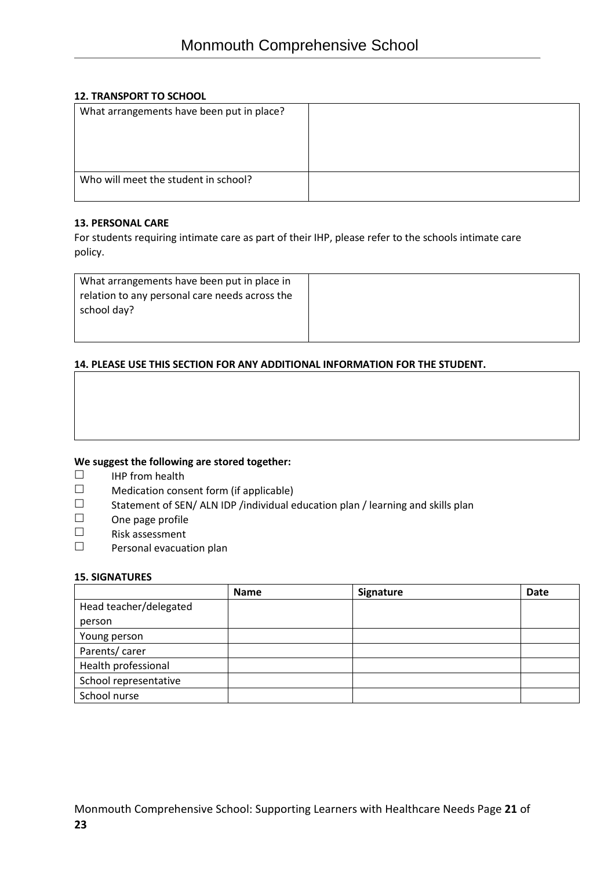### **12. TRANSPORT TO SCHOOL**

| What arrangements have been put in place? |  |
|-------------------------------------------|--|
|                                           |  |
|                                           |  |
|                                           |  |
| Who will meet the student in school?      |  |
|                                           |  |

#### **13. PERSONAL CARE**

For students requiring intimate care as part of their IHP, please refer to the schools intimate care policy.

| What arrangements have been put in place in<br>relation to any personal care needs across the |  |
|-----------------------------------------------------------------------------------------------|--|
| school day?                                                                                   |  |
|                                                                                               |  |
|                                                                                               |  |

### **14. PLEASE USE THIS SECTION FOR ANY ADDITIONAL INFORMATION FOR THE STUDENT.**

### **We suggest the following are stored together:**

- $\Box$  IHP from health<br> $\Box$  Medication cons
- $\square$  Medication consent form (if applicable)<br> $\square$  Statement of SEN/ALN IDP /individual e
- Statement of SEN/ ALN IDP /individual education plan / learning and skills plan<br>
One page profile
- $\Box$  One page profile<br> $\Box$  Risk assessment
- Risk assessment
- $\square$  Personal evacuation plan

#### **15. SIGNATURES**

|                        | <b>Name</b> | Signature | Date |
|------------------------|-------------|-----------|------|
| Head teacher/delegated |             |           |      |
| person                 |             |           |      |
| Young person           |             |           |      |
| Parents/carer          |             |           |      |
| Health professional    |             |           |      |
| School representative  |             |           |      |
| School nurse           |             |           |      |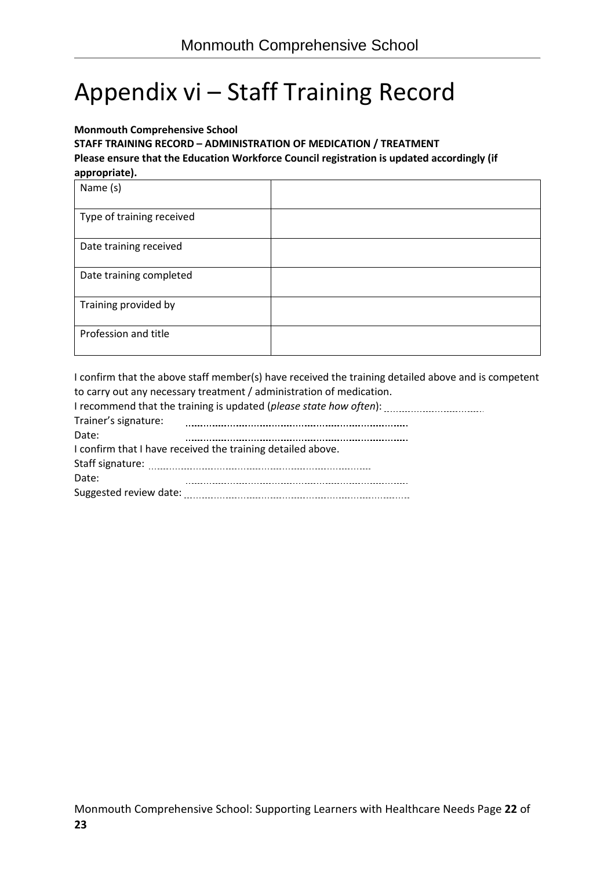# Appendix vi – Staff Training Record

#### **Monmouth Comprehensive School**

**STAFF TRAINING RECORD – ADMINISTRATION OF MEDICATION / TREATMENT Please ensure that the Education Workforce Council registration is updated accordingly (if appropriate).** 

I confirm that the above staff member(s) have received the training detailed above and is competent to carry out any necessary treatment / administration of medication.

| Trainer's signature:                                        |  |  |  |  |  |
|-------------------------------------------------------------|--|--|--|--|--|
| Date:                                                       |  |  |  |  |  |
| I confirm that I have received the training detailed above. |  |  |  |  |  |
|                                                             |  |  |  |  |  |
| Date:                                                       |  |  |  |  |  |
|                                                             |  |  |  |  |  |
|                                                             |  |  |  |  |  |